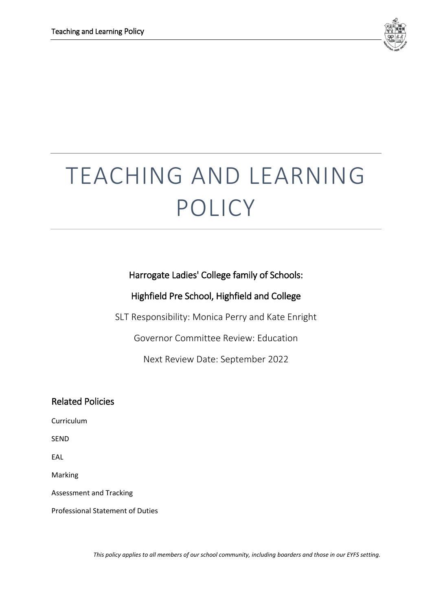

# TEACHING AND LEARNING POLICY

# Harrogate Ladies' College family of Schools:

# Highfield Pre School, Highfield and College

SLT Responsibility: Monica Perry and Kate Enright

Governor Committee Review: Education

Next Review Date: September 2022

# Related Policies

Curriculum SEND EAL Marking

Assessment and Tracking

Professional Statement of Duties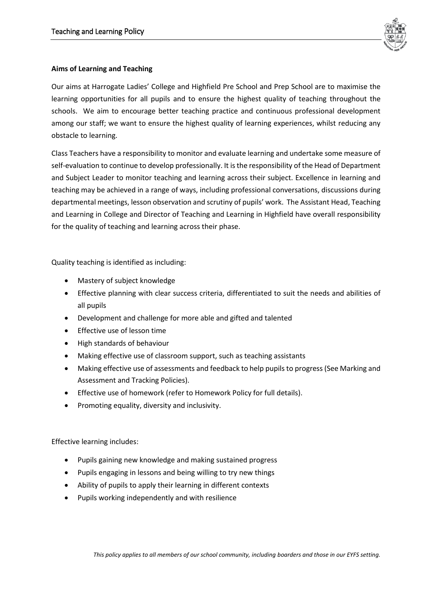

#### **Aims of Learning and Teaching**

Our aims at Harrogate Ladies' College and Highfield Pre School and Prep School are to maximise the learning opportunities for all pupils and to ensure the highest quality of teaching throughout the schools. We aim to encourage better teaching practice and continuous professional development among our staff; we want to ensure the highest quality of learning experiences, whilst reducing any obstacle to learning.

Class Teachers have a responsibility to monitor and evaluate learning and undertake some measure of self-evaluation to continue to develop professionally. It is the responsibility of the Head of Department and Subject Leader to monitor teaching and learning across their subject. Excellence in learning and teaching may be achieved in a range of ways, including professional conversations, discussions during departmental meetings, lesson observation and scrutiny of pupils' work. The Assistant Head, Teaching and Learning in College and Director of Teaching and Learning in Highfield have overall responsibility for the quality of teaching and learning across their phase.

Quality teaching is identified as including:

- Mastery of subject knowledge
- Effective planning with clear success criteria, differentiated to suit the needs and abilities of all pupils
- Development and challenge for more able and gifted and talented
- Effective use of lesson time
- High standards of behaviour
- Making effective use of classroom support, such as teaching assistants
- Making effective use of assessments and feedback to help pupils to progress (See Marking and Assessment and Tracking Policies).
- Effective use of homework (refer to Homework Policy for full details).
- Promoting equality, diversity and inclusivity.

Effective learning includes:

- Pupils gaining new knowledge and making sustained progress
- Pupils engaging in lessons and being willing to try new things
- Ability of pupils to apply their learning in different contexts
- Pupils working independently and with resilience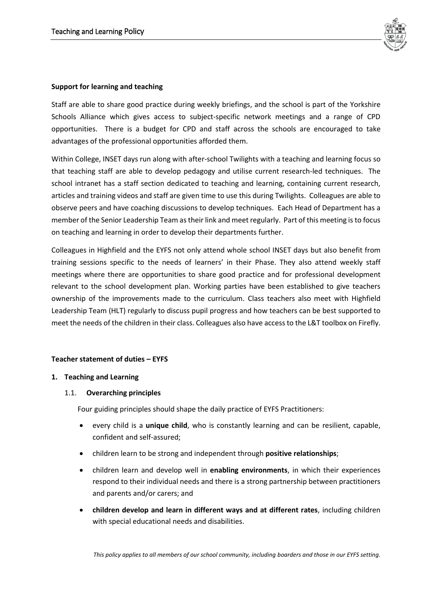

#### **Support for learning and teaching**

Staff are able to share good practice during weekly briefings, and the school is part of the Yorkshire Schools Alliance which gives access to subject-specific network meetings and a range of CPD opportunities. There is a budget for CPD and staff across the schools are encouraged to take advantages of the professional opportunities afforded them.

Within College, INSET days run along with after-school Twilights with a teaching and learning focus so that teaching staff are able to develop pedagogy and utilise current research-led techniques. The school intranet has a staff section dedicated to teaching and learning, containing current research, articles and training videos and staff are given time to use this during Twilights. Colleagues are able to observe peers and have coaching discussions to develop techniques. Each Head of Department has a member of the Senior Leadership Team as their link and meet regularly. Part of this meeting is to focus on teaching and learning in order to develop their departments further.

Colleagues in Highfield and the EYFS not only attend whole school INSET days but also benefit from training sessions specific to the needs of learners' in their Phase. They also attend weekly staff meetings where there are opportunities to share good practice and for professional development relevant to the school development plan. Working parties have been established to give teachers ownership of the improvements made to the curriculum. Class teachers also meet with Highfield Leadership Team (HLT) regularly to discuss pupil progress and how teachers can be best supported to meet the needs of the children in their class. Colleagues also have access to the L&T toolbox on Firefly.

#### **Teacher statement of duties – EYFS**

#### **1. Teaching and Learning**

#### 1.1. **Overarching principles**

Four guiding principles should shape the daily practice of EYFS Practitioners:

- every child is a **unique child**, who is constantly learning and can be resilient, capable, confident and self-assured;
- children learn to be strong and independent through **positive relationships**;
- children learn and develop well in **enabling environments**, in which their experiences respond to their individual needs and there is a strong partnership between practitioners and parents and/or carers; and
- **children develop and learn in different ways and at different rates**, including children with special educational needs and disabilities.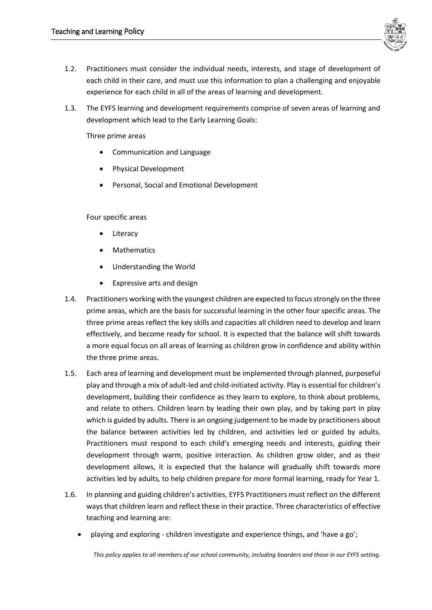

- 1.2. Practitioners must consider the individual needs, interests, and stage of development of each child in their care, and must use this information to plan a challenging and enjoyable experience for each child in all of the areas of learning and development.
- 1.3. The EYFS learning and development requirements comprise of seven areas of learning and development which lead to the Early Learning Goals:

Three prime areas

- Communication and Language
- Physical Development
- Personal, Social and Emotional Development

Four specific areas

- Literacy
- **Mathematics**
- Understanding the World
- Expressive arts and design
- 1.4. Practitioners working with the youngest children are expected to focus strongly on the three prime areas, which are the basis for successful learning in the other four specific areas. The three prime areas reflect the key skills and capacities all children need to develop and learn effectively, and become ready for school. It is expected that the balance will shift towards a more equal focus on all areas of learning as children grow in confidence and ability within the three prime areas.
- 1.5. Each area of learning and development must be implemented through planned, purposeful play and through a mix of adult-led and child-initiated activity. Play is essential for children's development, building their confidence as they learn to explore, to think about problems, and relate to others. Children learn by leading their own play, and by taking part in play which is guided by adults. There is an ongoing judgement to be made by practitioners about the balance between activities led by children, and activities led or guided by adults. Practitioners must respond to each child's emerging needs and interests, guiding their development through warm, positive interaction. As children grow older, and as their development allows, it is expected that the balance will gradually shift towards more activities led by adults, to help children prepare for more formal learning, ready for Year 1.
- 1.6. In planning and guiding children's activities, EYFS Practitioners must reflect on the different ways that children learn and reflect these in their practice. Three characteristics of effective teaching and learning are:
	- playing and exploring children investigate and experience things, and 'have a go';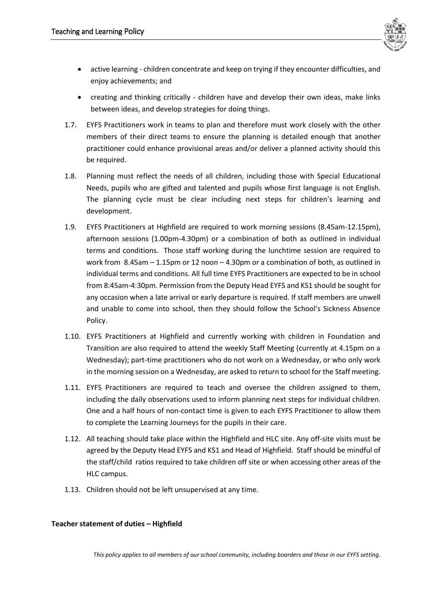

- active learning children concentrate and keep on trying if they encounter difficulties, and enjoy achievements; and
- creating and thinking critically children have and develop their own ideas, make links between ideas, and develop strategies for doing things.
- 1.7. EYFS Practitioners work in teams to plan and therefore must work closely with the other members of their direct teams to ensure the planning is detailed enough that another practitioner could enhance provisional areas and/or deliver a planned activity should this be required.
- 1.8. Planning must reflect the needs of all children, including those with Special Educational Needs, pupils who are gifted and talented and pupils whose first language is not English. The planning cycle must be clear including next steps for children's learning and development.
- 1.9. EYFS Practitioners at Highfield are required to work morning sessions (8.45am-12.15pm), afternoon sessions (1.00pm-4.30pm) or a combination of both as outlined in individual terms and conditions. Those staff working during the lunchtime session are required to work from 8.45am – 1.15pm or 12 noon – 4.30pm or a combination of both, as outlined in individual terms and conditions. All full time EYFS Practitioners are expected to be in school from 8:45am-4:30pm. Permission from the Deputy Head EYFS and KS1 should be sought for any occasion when a late arrival or early departure is required. If staff members are unwell and unable to come into school, then they should follow the School's Sickness Absence Policy.
- 1.10. EYFS Practitioners at Highfield and currently working with children in Foundation and Transition are also required to attend the weekly Staff Meeting (currently at 4.15pm on a Wednesday); part-time practitioners who do not work on a Wednesday, or who only work in the morning session on a Wednesday, are asked to return to school for the Staff meeting.
- 1.11. EYFS Practitioners are required to teach and oversee the children assigned to them, including the daily observations used to inform planning next steps for individual children. One and a half hours of non-contact time is given to each EYFS Practitioner to allow them to complete the Learning Journeys for the pupils in their care.
- 1.12. All teaching should take place within the Highfield and HLC site. Any off-site visits must be agreed by the Deputy Head EYFS and KS1 and Head of Highfield. Staff should be mindful of the staff/child ratios required to take children off site or when accessing other areas of the HLC campus.
- 1.13. Children should not be left unsupervised at any time.

#### **Teacher statement of duties – Highfield**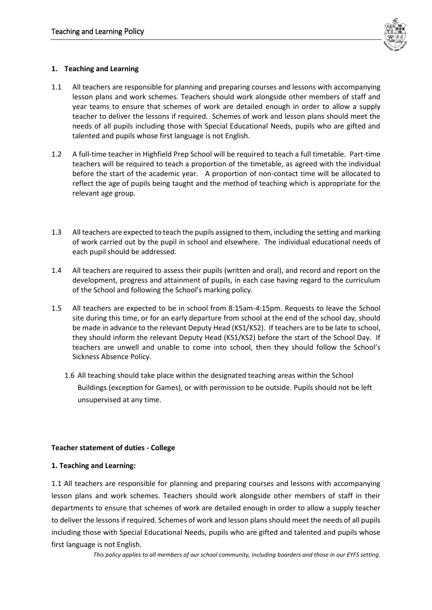

#### **1. Teaching and Learning**

- 1.1 All teachers are responsible for planning and preparing courses and lessons with accompanying lesson plans and work schemes. Teachers should work alongside other members of staff and year teams to ensure that schemes of work are detailed enough in order to allow a supply teacher to deliver the lessons if required. Schemes of work and lesson plans should meet the needs of all pupils including those with Special Educational Needs, pupils who are gifted and talented and pupils whose first language is not English.
- 1.2 A full-time teacher in Highfield Prep School will be required to teach a full timetable. Part-time teachers will be required to teach a proportion of the timetable, as agreed with the individual before the start of the academic year. A proportion of non-contact time will be allocated to reflect the age of pupils being taught and the method of teaching which is appropriate for the relevant age group.
- 1.3 All teachers are expected to teach the pupils assigned to them, including the setting and marking of work carried out by the pupil in school and elsewhere. The individual educational needs of each pupil should be addressed.
- 1.4 All teachers are required to assess their pupils (written and oral), and record and report on the development, progress and attainment of pupils, in each case having regard to the curriculum of the School and following the School's marking policy.
- 1.5 All teachers are expected to be in school from 8:15am-4:15pm. Requests to leave the School site during this time, or for an early departure from school at the end of the school day, should be made in advance to the relevant Deputy Head (KS1/KS2). If teachers are to be late to school, they should inform the relevant Deputy Head (KS1/KS2) before the start of the School Day. If teachers are unwell and unable to come into school, then they should follow the School's Sickness Absence Policy.
	- 1.6 All teaching should take place within the designated teaching areas within the School Buildings (exception for Games), or with permission to be outside. Pupils should not be left unsupervised at any time.

#### **Teacher statement of duties - College**

#### **1. Teaching and Learning:**

1.1 All teachers are responsible for planning and preparing courses and lessons with accompanying lesson plans and work schemes. Teachers should work alongside other members of staff in their departments to ensure that schemes of work are detailed enough in order to allow a supply teacher to deliver the lessons if required. Schemes of work and lesson plans should meet the needs of all pupils including those with Special Educational Needs, pupils who are gifted and talented and pupils whose first language is not English.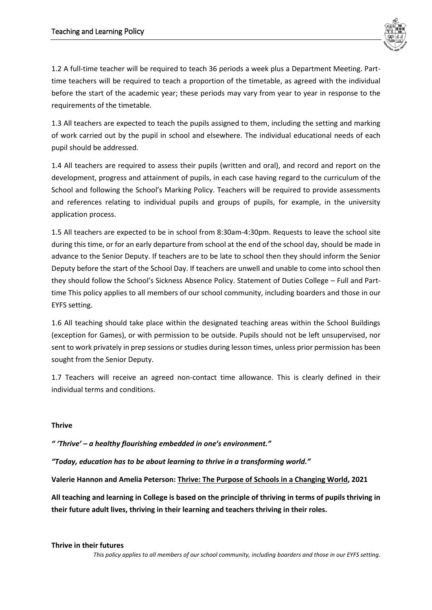

1.2 A full-time teacher will be required to teach 36 periods a week plus a Department Meeting. Parttime teachers will be required to teach a proportion of the timetable, as agreed with the individual before the start of the academic year; these periods may vary from year to year in response to the requirements of the timetable.

1.3 All teachers are expected to teach the pupils assigned to them, including the setting and marking of work carried out by the pupil in school and elsewhere. The individual educational needs of each pupil should be addressed.

1.4 All teachers are required to assess their pupils (written and oral), and record and report on the development, progress and attainment of pupils, in each case having regard to the curriculum of the School and following the School's Marking Policy. Teachers will be required to provide assessments and references relating to individual pupils and groups of pupils, for example, in the university application process.

1.5 All teachers are expected to be in school from 8:30am-4:30pm. Requests to leave the school site during this time, or for an early departure from school at the end of the school day, should be made in advance to the Senior Deputy. If teachers are to be late to school then they should inform the Senior Deputy before the start of the School Day. If teachers are unwell and unable to come into school then they should follow the School's Sickness Absence Policy. Statement of Duties College – Full and Parttime This policy applies to all members of our school community, including boarders and those in our EYFS setting.

1.6 All teaching should take place within the designated teaching areas within the School Buildings (exception for Games), or with permission to be outside. Pupils should not be left unsupervised, nor sent to work privately in prep sessions or studies during lesson times, unless prior permission has been sought from the Senior Deputy.

1.7 Teachers will receive an agreed non-contact time allowance. This is clearly defined in their individual terms and conditions.

#### **Thrive**

*" 'Thrive' – a healthy flourishing embedded in one's environment."*

*"Today, education has to be about learning to thrive in a transforming world."*

**Valerie Hannon and Amelia Peterson: Thrive: The Purpose of Schools in a Changing World, 2021**

**All teaching and learning in College is based on the principle of thriving in terms of pupils thriving in their future adult lives, thriving in their learning and teachers thriving in their roles.**

**Thrive in their futures**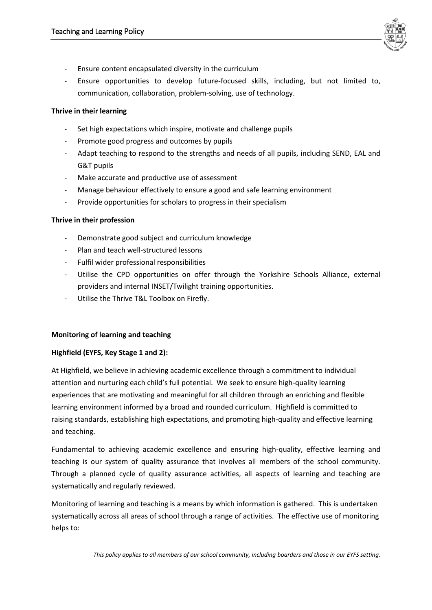

- Ensure content encapsulated diversity in the curriculum
- Ensure opportunities to develop future-focused skills, including, but not limited to, communication, collaboration, problem-solving, use of technology.

#### **Thrive in their learning**

- Set high expectations which inspire, motivate and challenge pupils
- Promote good progress and outcomes by pupils
- Adapt teaching to respond to the strengths and needs of all pupils, including SEND, EAL and G&T pupils
- Make accurate and productive use of assessment
- Manage behaviour effectively to ensure a good and safe learning environment
- Provide opportunities for scholars to progress in their specialism

#### **Thrive in their profession**

- Demonstrate good subject and curriculum knowledge
- Plan and teach well-structured lessons
- Fulfil wider professional responsibilities
- Utilise the CPD opportunities on offer through the Yorkshire Schools Alliance, external providers and internal INSET/Twilight training opportunities.
- Utilise the Thrive T&L Toolbox on Firefly.

#### **Monitoring of learning and teaching**

#### **Highfield (EYFS, Key Stage 1 and 2):**

At Highfield, we believe in achieving academic excellence through a commitment to individual attention and nurturing each child's full potential. We seek to ensure high-quality learning experiences that are motivating and meaningful for all children through an enriching and flexible learning environment informed by a broad and rounded curriculum. Highfield is committed to raising standards, establishing high expectations, and promoting high-quality and effective learning and teaching.

Fundamental to achieving academic excellence and ensuring high-quality, effective learning and teaching is our system of quality assurance that involves all members of the school community. Through a planned cycle of quality assurance activities, all aspects of learning and teaching are systematically and regularly reviewed.

Monitoring of learning and teaching is a means by which information is gathered. This is undertaken systematically across all areas of school through a range of activities. The effective use of monitoring helps to: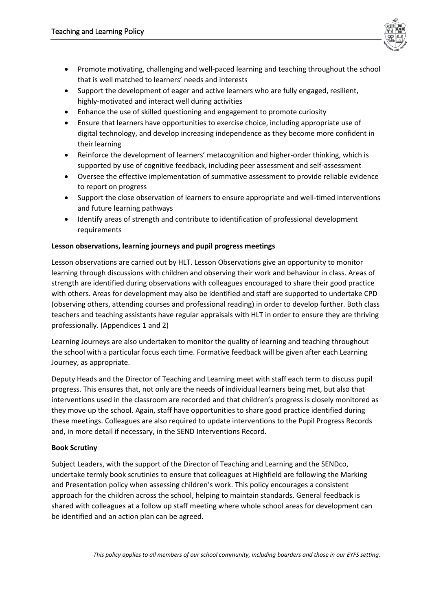

- Promote motivating, challenging and well-paced learning and teaching throughout the school that is well matched to learners' needs and interests
- Support the development of eager and active learners who are fully engaged, resilient, highly-motivated and interact well during activities
- Enhance the use of skilled questioning and engagement to promote curiosity
- Ensure that learners have opportunities to exercise choice, including appropriate use of digital technology, and develop increasing independence as they become more confident in their learning
- Reinforce the development of learners' metacognition and higher-order thinking, which is supported by use of cognitive feedback, including peer assessment and self-assessment
- Oversee the effective implementation of summative assessment to provide reliable evidence to report on progress
- Support the close observation of learners to ensure appropriate and well-timed interventions and future learning pathways
- Identify areas of strength and contribute to identification of professional development requirements

#### **Lesson observations, learning journeys and pupil progress meetings**

Lesson observations are carried out by HLT. Lesson Observations give an opportunity to monitor learning through discussions with children and observing their work and behaviour in class. Areas of strength are identified during observations with colleagues encouraged to share their good practice with others. Areas for development may also be identified and staff are supported to undertake CPD (observing others, attending courses and professional reading) in order to develop further. Both class teachers and teaching assistants have regular appraisals with HLT in order to ensure they are thriving professionally. (Appendices 1 and 2)

Learning Journeys are also undertaken to monitor the quality of learning and teaching throughout the school with a particular focus each time. Formative feedback will be given after each Learning Journey, as appropriate.

Deputy Heads and the Director of Teaching and Learning meet with staff each term to discuss pupil progress. This ensures that, not only are the needs of individual learners being met, but also that interventions used in the classroom are recorded and that children's progress is closely monitored as they move up the school. Again, staff have opportunities to share good practice identified during these meetings. Colleagues are also required to update interventions to the Pupil Progress Records and, in more detail if necessary, in the SEND Interventions Record.

#### **Book Scrutiny**

Subject Leaders, with the support of the Director of Teaching and Learning and the SENDco, undertake termly book scrutinies to ensure that colleagues at Highfield are following the Marking and Presentation policy when assessing children's work. This policy encourages a consistent approach for the children across the school, helping to maintain standards. General feedback is shared with colleagues at a follow up staff meeting where whole school areas for development can be identified and an action plan can be agreed.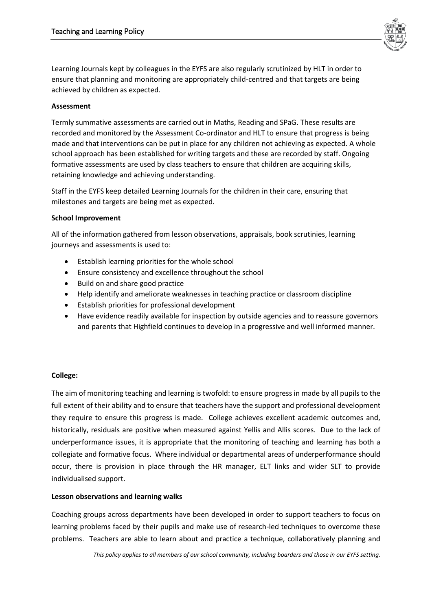

Learning Journals kept by colleagues in the EYFS are also regularly scrutinized by HLT in order to ensure that planning and monitoring are appropriately child-centred and that targets are being achieved by children as expected.

#### **Assessment**

Termly summative assessments are carried out in Maths, Reading and SPaG. These results are recorded and monitored by the Assessment Co-ordinator and HLT to ensure that progress is being made and that interventions can be put in place for any children not achieving as expected. A whole school approach has been established for writing targets and these are recorded by staff. Ongoing formative assessments are used by class teachers to ensure that children are acquiring skills, retaining knowledge and achieving understanding.

Staff in the EYFS keep detailed Learning Journals for the children in their care, ensuring that milestones and targets are being met as expected.

#### **School Improvement**

All of the information gathered from lesson observations, appraisals, book scrutinies, learning journeys and assessments is used to:

- Establish learning priorities for the whole school
- Ensure consistency and excellence throughout the school
- Build on and share good practice
- Help identify and ameliorate weaknesses in teaching practice or classroom discipline
- Establish priorities for professional development
- Have evidence readily available for inspection by outside agencies and to reassure governors and parents that Highfield continues to develop in a progressive and well informed manner.

#### **College:**

The aim of monitoring teaching and learning is twofold: to ensure progress in made by all pupils to the full extent of their ability and to ensure that teachers have the support and professional development they require to ensure this progress is made. College achieves excellent academic outcomes and, historically, residuals are positive when measured against Yellis and Allis scores. Due to the lack of underperformance issues, it is appropriate that the monitoring of teaching and learning has both a collegiate and formative focus. Where individual or departmental areas of underperformance should occur, there is provision in place through the HR manager, ELT links and wider SLT to provide individualised support.

#### **Lesson observations and learning walks**

Coaching groups across departments have been developed in order to support teachers to focus on learning problems faced by their pupils and make use of research-led techniques to overcome these problems. Teachers are able to learn about and practice a technique, collaboratively planning and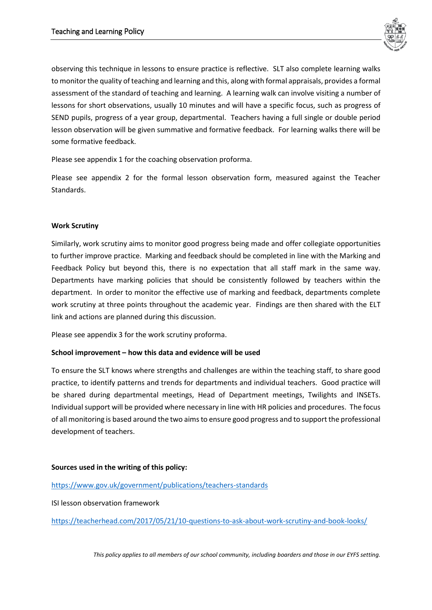

observing this technique in lessons to ensure practice is reflective. SLT also complete learning walks to monitor the quality of teaching and learning and this, along with formal appraisals, provides a formal assessment of the standard of teaching and learning. A learning walk can involve visiting a number of lessons for short observations, usually 10 minutes and will have a specific focus, such as progress of SEND pupils, progress of a year group, departmental. Teachers having a full single or double period lesson observation will be given summative and formative feedback. For learning walks there will be some formative feedback.

Please see appendix 1 for the coaching observation proforma.

Please see appendix 2 for the formal lesson observation form, measured against the Teacher Standards.

#### **Work Scrutiny**

Similarly, work scrutiny aims to monitor good progress being made and offer collegiate opportunities to further improve practice. Marking and feedback should be completed in line with the Marking and Feedback Policy but beyond this, there is no expectation that all staff mark in the same way. Departments have marking policies that should be consistently followed by teachers within the department. In order to monitor the effective use of marking and feedback, departments complete work scrutiny at three points throughout the academic year. Findings are then shared with the ELT link and actions are planned during this discussion.

Please see appendix 3 for the work scrutiny proforma.

#### **School improvement – how this data and evidence will be used**

To ensure the SLT knows where strengths and challenges are within the teaching staff, to share good practice, to identify patterns and trends for departments and individual teachers. Good practice will be shared during departmental meetings, Head of Department meetings, Twilights and INSETs. Individual support will be provided where necessary in line with HR policies and procedures. The focus of all monitoring is based around the two aims to ensure good progress and to support the professional development of teachers.

#### **Sources used in the writing of this policy:**

<https://www.gov.uk/government/publications/teachers-standards>

ISI lesson observation framework

<https://teacherhead.com/2017/05/21/10-questions-to-ask-about-work-scrutiny-and-book-looks/>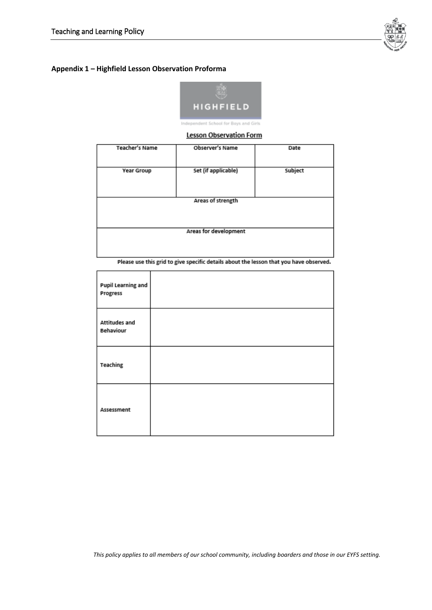# **Appendix 1 – Highfield Lesson Observation Proforma**



Independent School for Boys and Girls

**Lesson Observation Form** 

| <b>Teacher's Name</b> | Observer's Name              | Date    |
|-----------------------|------------------------------|---------|
|                       |                              |         |
|                       |                              |         |
|                       |                              |         |
| Year Group            | Set (if applicable)          | Subject |
|                       |                              |         |
|                       |                              |         |
|                       |                              |         |
|                       |                              |         |
|                       | Areas of strength            |         |
|                       |                              |         |
|                       |                              |         |
|                       |                              |         |
|                       | <b>Areas for development</b> |         |
|                       |                              |         |
|                       |                              |         |
|                       |                              |         |

Please use this grid to give specific details about the lesson that you have observed.

| <b>Pupil Learning and</b><br>Progress |  |
|---------------------------------------|--|
| Attitudes and<br>Behaviour            |  |
| Teaching                              |  |
| Assessment                            |  |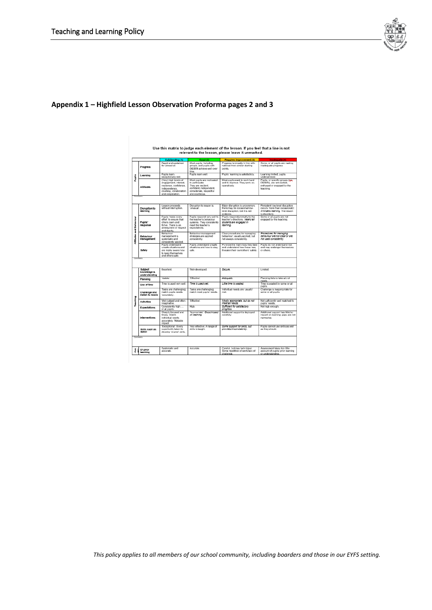

## **Appendix 1 – Highfield Lesson Observation Proforma pages 2 and 3**

|               |                                                | Outstanding (1)                                                                                                                           | <b>Good (2)</b>                                                                                                                            | Required improvement (3)                                                                                     | Importance exhibit (A)                                                                                                   |
|---------------|------------------------------------------------|-------------------------------------------------------------------------------------------------------------------------------------------|--------------------------------------------------------------------------------------------------------------------------------------------|--------------------------------------------------------------------------------------------------------------|--------------------------------------------------------------------------------------------------------------------------|
|               | Progress                                       | Rapid and sustained<br>for aimost all.                                                                                                    | Most ouglis, including<br>groups, and pupils with<br>D&SEN achieve well over<br>time.                                                      | Progress is broadly in line with<br>national from similar starting<br>points.                                | Some, or all pupils are making<br>inadequate progress.                                                                   |
| <b>Fupils</b> | Learning                                       | Publis learn<br>exceptionally well.                                                                                                       | Pupils learn well.                                                                                                                         | Pupils' learning is satisfactory.                                                                            | Learning limited: pupils<br>underachieve                                                                                 |
|               | Attitudes                                      | (Very) high levels of<br>engagement, interest,<br>resilience, confidence.<br>independence.<br>courtesy, collaboration<br>and cocceration. | Most ouplis are motivated<br>to participate.<br>They are resilent.<br>confident, independent,<br>considerate, respectful<br>and courteous. | Most oughs want to work hard<br>and to improve. They work co-<br>coeratively.                                | Pupils, or specific groups (igs.<br>D&SEN), are not excited.<br>enthused or engaged by the<br>teaching.                  |
|               | Cormers                                        |                                                                                                                                           |                                                                                                                                            |                                                                                                              |                                                                                                                          |
|               | Discurriton to<br>learning                     | Lesson renoneds<br>without interruption.                                                                                                  | Disruption to lesson is<br>unusual.                                                                                                        | Major disruption is uncommen:<br>there may be occasional low-<br>level disruption, but it is not<br>endemic. | Persistent low-level disruption<br>occurs 'more than occasionally'.<br>It hinders learning. The lesson<br>is disorderly. |
| Behaviour     | Pupils <sup>®</sup><br>response                | Publis 'make every<br>effort' to ensure that<br>others learn and<br>thrive. There is an<br>atmosphere of respect<br>and dignity.          | Publis respond very well to<br>the teacher's behaviour<br>systems. They consistently<br>meet the teacher's<br>expectations.                | Pupils respond promptly to the<br>teacher's directions. Nearly all<br>students are engaged in<br>learning.   | Some or all pupils are not<br>engaged by the teaching.                                                                   |
| atthudes and  | Behaviour<br>management                        | Behaviour<br>management is<br>systematic and<br>consistently applied.                                                                     | Behaviour management<br>strategies are applied<br>consistently.                                                                            | Clear procedures for managing<br>behaviour: usually applied, but<br>not always consistently.                 | Procedures for managing<br>behaviour are not clear or are<br>not used consistently.                                      |
|               | 3afety                                         | Pupils understand<br>unsafe situations and<br>are highly gware how:<br>to keep themselves.<br>and others safe.                            | Pupils understand unsafe<br>situations and how to stay<br>cofie                                                                            | Ps know the main risks they face<br>and understand how these may<br>threaten their own/others' safety.       | Pupils do not understand risk<br>and may endanger themselves<br>or others.                                               |
|               |                                                |                                                                                                                                           |                                                                                                                                            |                                                                                                              |                                                                                                                          |
| Comments      | <b>Subject</b><br>knowledge &                  | Excellent                                                                                                                                 | Well-developed                                                                                                                             | Service                                                                                                      | Limited.                                                                                                                 |
|               | understanding                                  | Ask to:                                                                                                                                   | Effective'                                                                                                                                 |                                                                                                              |                                                                                                                          |
|               | Planning                                       | Time is used very well.                                                                                                                   | Time is used well.                                                                                                                         | Adequate.<br>Lible time is wasted.                                                                           | Planning fails to take a/c of<br>needs<br>Time is wasted by some or all                                                  |
|               | Use of time<br>Challenge and<br>match to needs | Tasks are challenging:<br>match pupils needs<br>accurately.                                                                               | Tasks are challenging:<br>match most pupils' needs.                                                                                        | individual needs are 'usually'<br>mont                                                                       | <b>pupils</b><br>Challenge is inappropriate for<br>some or all pupils.                                                   |
|               | <b>Addvities</b>                               | Well-judged and often<br>imaginative.                                                                                                     | 'Effective'.                                                                                                                               | Mostly appropriate, but do not<br>meet all needs.                                                            | pupils' needs.                                                                                                           |
| eaching       | Expectations                                   | Consistently high<br>of all pupils.                                                                                                       | High.                                                                                                                                      | Sufficient for satisfactory<br>progress                                                                      | Not high enough.                                                                                                         |
|               | <b>Inferventions</b>                           | Sharply focused and<br>timely. Match<br>individual needs<br>accurately. 'Notable<br>impact <sup>*</sup>                                   | Accrooriate', Good Impact<br>on learning.                                                                                                  | Additional support is deployed<br>carefully.                                                                 | Not sufficiently well matched to<br>Additional support has little/no<br>impact on learning; gaps are not<br>namowing.    |
|               | <b>Skills such as</b><br>amac<br>Comments      | Exceptional Every<br>opportunity taken to<br>develop 'crucial' skills.                                                                    | Very effective. A range of<br>skills is taught.                                                                                            | Same support for skills, but<br>provided inconsistently.                                                     | Puolis cannot use skills as well<br>as they should.                                                                      |
|               |                                                |                                                                                                                                           |                                                                                                                                            |                                                                                                              |                                                                                                                          |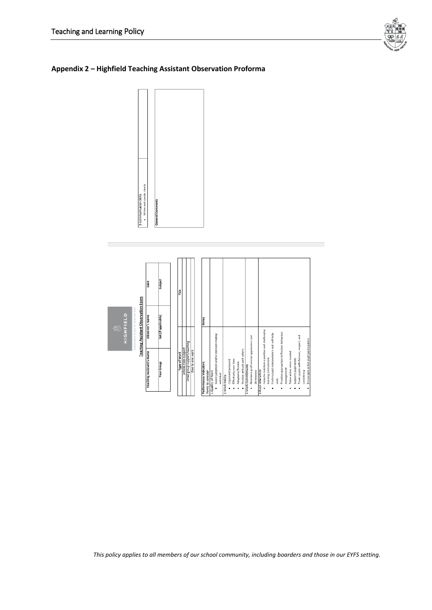# **Appendix 2 – Highfield Teaching Assistant Observation Proforma**

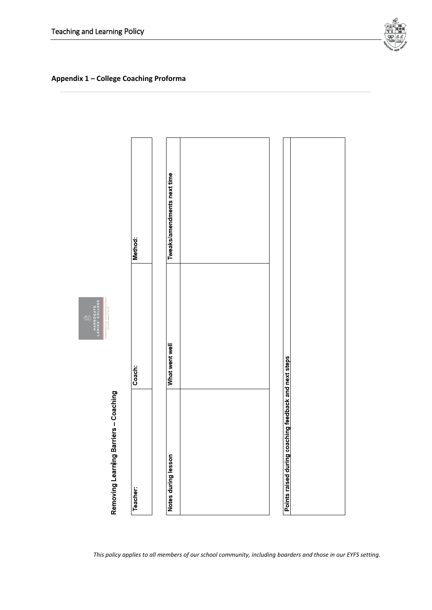

### **Appendix 1 – College Coaching Proforma**

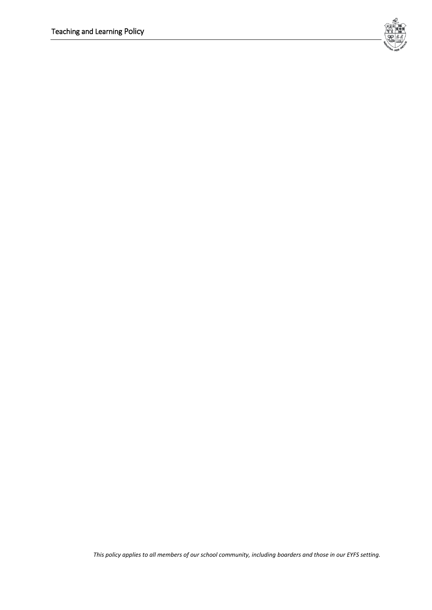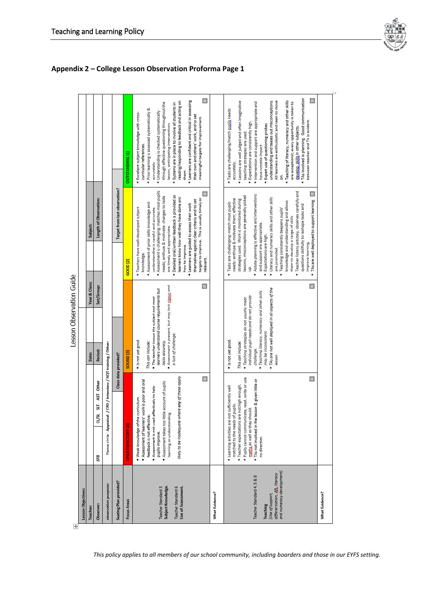| $\ddot{\pm}$                                                                                                            |                                                                                    |                                                                                                                                                                                                                                               |                      | Lesson Observation Guide                                                                                                                                                                                                                                                                  |               |                                                                                                                                                                                      |                                                                                                                                                                                                                                                                                                                                                                                                                                                                                               |                                                                                                                                                                                                                                                                                                                                                                                                                                                                                                                                                                                                                                                         |
|-------------------------------------------------------------------------------------------------------------------------|------------------------------------------------------------------------------------|-----------------------------------------------------------------------------------------------------------------------------------------------------------------------------------------------------------------------------------------------|----------------------|-------------------------------------------------------------------------------------------------------------------------------------------------------------------------------------------------------------------------------------------------------------------------------------------|---------------|--------------------------------------------------------------------------------------------------------------------------------------------------------------------------------------|-----------------------------------------------------------------------------------------------------------------------------------------------------------------------------------------------------------------------------------------------------------------------------------------------------------------------------------------------------------------------------------------------------------------------------------------------------------------------------------------------|---------------------------------------------------------------------------------------------------------------------------------------------------------------------------------------------------------------------------------------------------------------------------------------------------------------------------------------------------------------------------------------------------------------------------------------------------------------------------------------------------------------------------------------------------------------------------------------------------------------------------------------------------------|
| Lesson Objectives:                                                                                                      |                                                                                    |                                                                                                                                                                                                                                               |                      |                                                                                                                                                                                                                                                                                           |               |                                                                                                                                                                                      |                                                                                                                                                                                                                                                                                                                                                                                                                                                                                               |                                                                                                                                                                                                                                                                                                                                                                                                                                                                                                                                                                                                                                                         |
| <b>Teacher:</b>                                                                                                         |                                                                                    |                                                                                                                                                                                                                                               |                      | Date:                                                                                                                                                                                                                                                                                     | Year & Class: |                                                                                                                                                                                      | <b>Subject:</b>                                                                                                                                                                                                                                                                                                                                                                                                                                                                               |                                                                                                                                                                                                                                                                                                                                                                                                                                                                                                                                                                                                                                                         |
| <b>Observer:</b>                                                                                                        | SFB                                                                                | AST Other<br>51<br>CL/SL                                                                                                                                                                                                                      |                      | Period:                                                                                                                                                                                                                                                                                   | Set/Group:    |                                                                                                                                                                                      | Length of Observation:                                                                                                                                                                                                                                                                                                                                                                                                                                                                        |                                                                                                                                                                                                                                                                                                                                                                                                                                                                                                                                                                                                                                                         |
| observation purpose:                                                                                                    | Please circle: Appraisal                                                           |                                                                                                                                                                                                                                               |                      | / CPD / Interview / NQT training / Other:                                                                                                                                                                                                                                                 |               |                                                                                                                                                                                      |                                                                                                                                                                                                                                                                                                                                                                                                                                                                                               |                                                                                                                                                                                                                                                                                                                                                                                                                                                                                                                                                                                                                                                         |
| Seating Plan provided?                                                                                                  |                                                                                    |                                                                                                                                                                                                                                               | Class data provided? |                                                                                                                                                                                                                                                                                           |               |                                                                                                                                                                                      | Target from last observation?                                                                                                                                                                                                                                                                                                                                                                                                                                                                 |                                                                                                                                                                                                                                                                                                                                                                                                                                                                                                                                                                                                                                                         |
| Focus Areas                                                                                                             | UNSATISFACTORY (4)                                                                 |                                                                                                                                                                                                                                               |                      | SOUND (3)                                                                                                                                                                                                                                                                                 |               | 500D(2)                                                                                                                                                                              |                                                                                                                                                                                                                                                                                                                                                                                                                                                                                               | OUTSTANDING (1)                                                                                                                                                                                                                                                                                                                                                                                                                                                                                                                                                                                                                                         |
| Subject Knowledge,<br>Use of Assessment.<br>Teacher Standard 6<br>Teacher Standard 3                                    | learning or understanding.<br>feedback is not effective.<br>pupils improve.        | likely to be inadequate where any of these apply<br>. Assessment of learners' work is poor and oral<br>. Assessment takes too little account of pupils<br>· Assessment is not used effectively to help<br>. Weak knowledge of the curriculum. | □                    | · Assessment is present, but may lack riggur, and<br>learners understand course requirements but<br>• The teacher knows the subject and most<br>a lack of challenge.<br>· Is not yet good.<br>lacks accuracy.<br>This can include:                                                        | □             | are timely and appropriate.<br>how to improve.<br>knowledge.<br>relevant.                                                                                                            | · Assessment is challenging: matches most pupils<br>□<br>· Detailed oral/written feedback is provided so<br>needs; enthuse & motivate: changes to tasks<br>learners know how well they have done and<br>targets to improve. This is usually timely or<br>themselves against clear criteria and to set<br>. Assessment of prior skills knowledge and<br>. Learners are guided to assess their work<br>· Teachers have well-developed subject<br>understanding is careful and accurate.         | □<br>· Learners are confident and critical in assessing<br>reading/responding to feedback and acting on<br>through effective questioning throughout the<br>· Systems are in place to involve all students in<br>Prior learning is assessed systematically &<br>· Understanding is checked systematically<br>Excellent subject knowledge with cross-<br>their own and others' work, and to set<br>meaningful targets for improvement.<br>lesson, anticipating interventions.<br>curricular references<br>accurately<br>them.                                                                                                                             |
| What Evidence?                                                                                                          |                                                                                    |                                                                                                                                                                                                                                               |                      |                                                                                                                                                                                                                                                                                           |               |                                                                                                                                                                                      |                                                                                                                                                                                                                                                                                                                                                                                                                                                                                               |                                                                                                                                                                                                                                                                                                                                                                                                                                                                                                                                                                                                                                                         |
| and numeracy development)<br>differentiation, AL, literacy<br>Teacher Standard 4, 5 & 8<br>(Use of support,<br>Teaching | matched to the needs of pupils.<br>maths, as well as they should.<br>no direction. | · Pupils cannot communicate, read, write or use<br>. TAs not involved in the lesson & given little or<br>· Teacher expectations are not high enough.<br>· Learning activities are not sufficiently well                                       | □                    | . TAs are not well deployed in all aspects of the<br>· Teaching literacy, numeracy and other skills<br>individual pupil needs and do not provide<br>· Teaching strategies do not usually meet<br>may be inconsistent.<br>· Is not yet good.<br>This can include:<br>challenge.<br>lesson. | $\Box$        | · Teaching consistently deepens pupils'<br>them to develop a range of skills.<br>and support are appropriate<br>· Expectations are high.<br>improve learning.<br>are promoted.<br>gi | · Teacher listens astutely, observes carefully and<br>□<br>· Astute planning is effective and interventions<br>lessons, misconceptions are generally picked<br>. Literacy and numeracy skills and other skills<br>needs: enthuse & motivate them; effective<br>strategies used. Work is monitored during<br>. TAs are well deployed to support learning.<br>knowledge and understanding and allows<br>· Tasks are challenging: match most pupils<br>questions skillfully to reshape tasks and | · TAs involved in planning. Good communication<br>□<br>All learners are enthusiastic and keen to move<br>. Teaching of literacy, numeracy and other skills<br>· Lessons are well judged and often imaginative<br>understanding and teases out misconceptions.<br>are exceptional; every opportunity is taken to<br>. Intervention and support are appropriate and<br>· Tasks are challenging/match gugils needs<br>between teacher and TA is evident.<br>· Expectations are consistently high.<br>· Expert use of questioning probes<br>develop, skills in other subjects.<br>teaching strategies are used.<br>have notable impact.<br>accurately.<br>έ |
| <b>What Evidence?</b>                                                                                                   |                                                                                    |                                                                                                                                                                                                                                               |                      |                                                                                                                                                                                                                                                                                           |               |                                                                                                                                                                                      |                                                                                                                                                                                                                                                                                                                                                                                                                                                                                               |                                                                                                                                                                                                                                                                                                                                                                                                                                                                                                                                                                                                                                                         |
|                                                                                                                         |                                                                                    |                                                                                                                                                                                                                                               |                      |                                                                                                                                                                                                                                                                                           |               |                                                                                                                                                                                      |                                                                                                                                                                                                                                                                                                                                                                                                                                                                                               |                                                                                                                                                                                                                                                                                                                                                                                                                                                                                                                                                                                                                                                         |

# **Appendix 2 – College Lesson Observation Proforma Page 1**

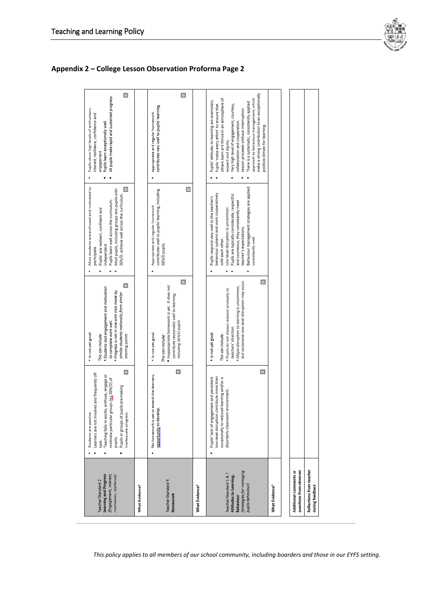| Learning and Progress<br>(Engagement, interest,<br>mativation, resilience)<br>Teacher Standard 2              | Learners are not involved and frequently off<br>Teaching fails to excite, enthuse, engage or<br>motivate particular groups (in SEN/D) of<br>Pupils or groups of pupils are making<br>Students are passive<br>inadequate progress<br>pupils.<br>task. | · Students lack engagement and mativation<br>· Progress is not in line with that made by<br>similar students nationally from similar<br>to complete work well.<br>· Is not yet good.<br>starting points.<br>This can include: | Most students are enthused and motivated to<br>Most pupils, including groups and pupils with<br>SEN/D, achieve well across the curriculum.<br>Pupils learn well across the curriculum.<br>Pupils' are resilient, confident and<br>independent<br>participate.                                                                          | □<br>All pupils make rapid and sustained progress.<br>Pupils show high levels of enthusiasm,<br>interest, resilience, confidence and<br>Pupils learn exceptionally well.<br>engagement                                                                                                                                                                                                                                                                                |
|---------------------------------------------------------------------------------------------------------------|------------------------------------------------------------------------------------------------------------------------------------------------------------------------------------------------------------------------------------------------------|-------------------------------------------------------------------------------------------------------------------------------------------------------------------------------------------------------------------------------|----------------------------------------------------------------------------------------------------------------------------------------------------------------------------------------------------------------------------------------------------------------------------------------------------------------------------------------|-----------------------------------------------------------------------------------------------------------------------------------------------------------------------------------------------------------------------------------------------------------------------------------------------------------------------------------------------------------------------------------------------------------------------------------------------------------------------|
| <b>What Evidence?</b>                                                                                         |                                                                                                                                                                                                                                                      |                                                                                                                                                                                                                               |                                                                                                                                                                                                                                                                                                                                        |                                                                                                                                                                                                                                                                                                                                                                                                                                                                       |
| Teacher Standard 4<br>Homework                                                                                | □<br>No homework is set to extend the learners.<br>SRRSCOUDILY to develop.                                                                                                                                                                           | □<br>· Inappropriate homework is set. It does not<br>contribute reasonably well to learning,<br>including SEN/D pupils.<br>· Is not yet good.<br>This can include:                                                            | □<br>contributes well to pupils' learning, including<br>Appropriate and regular homework<br>SEN/D pupils.                                                                                                                                                                                                                              | □<br>contributes very well to pupils' learning.<br>Appropriate and regular homework                                                                                                                                                                                                                                                                                                                                                                                   |
| <b>What Evidence?</b>                                                                                         |                                                                                                                                                                                                                                                      |                                                                                                                                                                                                                               |                                                                                                                                                                                                                                                                                                                                        |                                                                                                                                                                                                                                                                                                                                                                                                                                                                       |
| (strategies for managing<br>Teacher Standard 1 & 7<br>Attitudes to Learning.<br>pupils behaviour<br>Behaviour | □<br>low-level disruption contribute more than<br>Pupils' lack of engagement and persistent<br>occasionally to reduced learning and/or a<br>disorderly classroom environment.                                                                        | □<br>but occasional low-level disruption may occur.<br>· Major disruption to learning is uncommon,<br>· Pupils do not always respond promptly to<br>teachers' direction.<br>· Is not yet good<br>This can include:            | Behaviour management strategies are applied<br>behaviour systems and work cooperatively<br>Pupils are typically considerate, respectful<br>Pupils respond very well to the teacher's<br>and courteous; they consistently meet<br>Low level disruption is uncommon<br>teacher's expectations.<br>consistently well.<br>with each other. | make a strong contribution to an exceptionally<br>others learn and thrive in an atmosphere of<br>approach to behaviour management, which<br>Pupils' attitudes to learning are exemplary.<br>There is a systematic, consistently applied<br>Very high level of engagement, courtesy,<br>Pupils 'make every effort' to ensure that<br>Lesson proceeds without interruption.<br>collaboration and cooperation.<br>positive climate for learning.<br>respect and dignity. |
| What Evidence?                                                                                                |                                                                                                                                                                                                                                                      |                                                                                                                                                                                                                               |                                                                                                                                                                                                                                                                                                                                        |                                                                                                                                                                                                                                                                                                                                                                                                                                                                       |
|                                                                                                               |                                                                                                                                                                                                                                                      |                                                                                                                                                                                                                               |                                                                                                                                                                                                                                                                                                                                        |                                                                                                                                                                                                                                                                                                                                                                                                                                                                       |
| questions from observer<br>Additional comments or                                                             |                                                                                                                                                                                                                                                      |                                                                                                                                                                                                                               |                                                                                                                                                                                                                                                                                                                                        |                                                                                                                                                                                                                                                                                                                                                                                                                                                                       |
| Reflections from teacher<br>during feedback                                                                   |                                                                                                                                                                                                                                                      |                                                                                                                                                                                                                               |                                                                                                                                                                                                                                                                                                                                        |                                                                                                                                                                                                                                                                                                                                                                                                                                                                       |

# **Appendix 2 – College Lesson Observation Proforma Page 2**



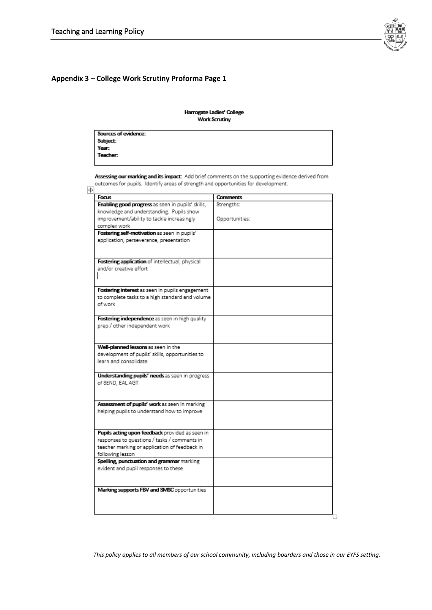

#### **Appendix 3 – College Work Scrutiny Proforma Page 1**

Harrogate Ladies' College **Work Scrutiny** 

| Sources of evidence: |  |  |
|----------------------|--|--|
| Subject:             |  |  |
| Year:                |  |  |
| Teacher:             |  |  |
|                      |  |  |

**Assessing our marking and its impact:** Add brief comments on the supporting evidence outcomes for pupils. Identify areas of strength and opportunities for development. Assessing our marking and its impact: Add brief comments on the supporting evidence derived from

| <b>Focus</b>                                               | <b>Comments</b> |
|------------------------------------------------------------|-----------------|
| Enabling good progress as seen in pupils' skills,          | Strengths:      |
| knowledge and understanding. Pupils show                   |                 |
| improvement/ability to tackle increasingly                 | Opportunities:  |
| complex work                                               |                 |
| Fostering self-motivation as seen in pupils'               |                 |
|                                                            |                 |
| application, perseverance, presentation                    |                 |
|                                                            |                 |
| Fostering application of intellectual, physical            |                 |
| and/or creative effort                                     |                 |
|                                                            |                 |
|                                                            |                 |
|                                                            |                 |
| Fostering interest as seen in pupils engagement            |                 |
| to complete tasks to a high standard and volume<br>of work |                 |
|                                                            |                 |
| Fostering independence as seen in high quality             |                 |
| prep / other independent work                              |                 |
|                                                            |                 |
|                                                            |                 |
| Well-planned lessons as seen in the                        |                 |
| development of pupils' skills, opportunities to            |                 |
| learn and consolidate                                      |                 |
|                                                            |                 |
| Understanding pupils' needs as seen in progress            |                 |
| of SEND, EAL AGT                                           |                 |
|                                                            |                 |
|                                                            |                 |
| Assessment of pupils' work as seen in marking              |                 |
| helping pupils to understand how to improve                |                 |
|                                                            |                 |
|                                                            |                 |
| Pupils acting upon feedback provided as seen in            |                 |
| responses to questions / tasks / comments in               |                 |
| teacher marking or application of feedback in              |                 |
| following lesson                                           |                 |
| Spelling, punctuation and grammar marking                  |                 |
| evident and pupil responses to these                       |                 |
|                                                            |                 |
|                                                            |                 |
| Marking supports FBV and SMSC opportunities                |                 |
|                                                            |                 |
|                                                            |                 |
|                                                            |                 |
|                                                            |                 |